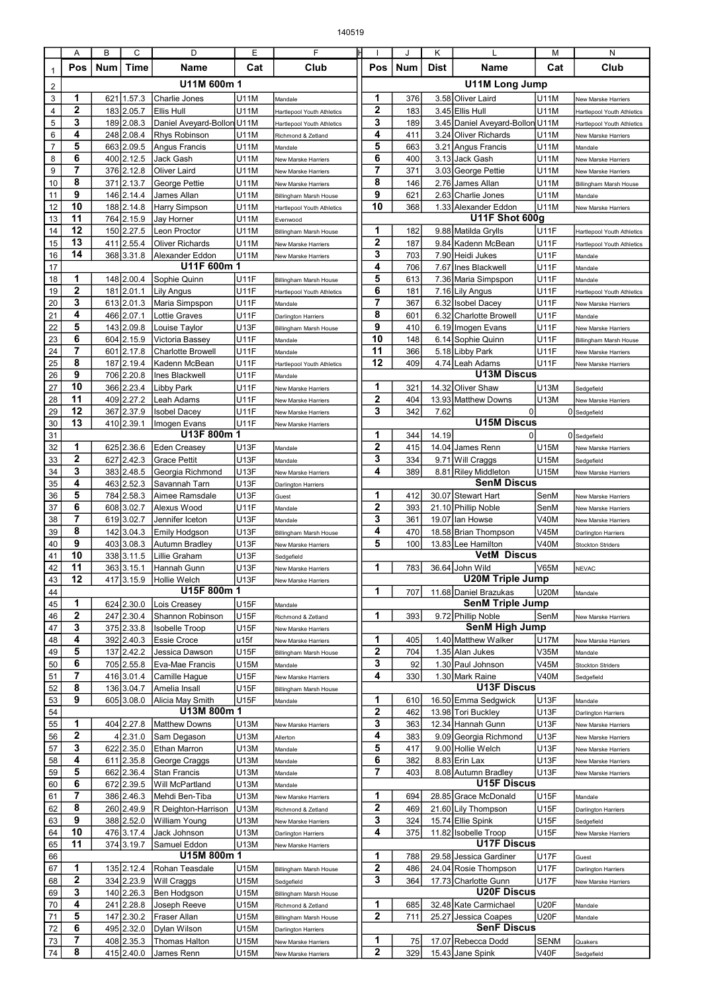|                | Α            | В          | C                        | D                                | E                   | F                                                           |                |            | Κ           |                                           | м            | Ν                                                 |
|----------------|--------------|------------|--------------------------|----------------------------------|---------------------|-------------------------------------------------------------|----------------|------------|-------------|-------------------------------------------|--------------|---------------------------------------------------|
| 1              | Pos          | <b>Num</b> | Time                     | Name                             | Cat                 | Club                                                        | Pos            | Num        | <b>Dist</b> | Name                                      | Cat          | Club                                              |
| $\overline{2}$ | U11M 600m 1  |            |                          |                                  |                     |                                                             |                |            |             | U11M Long Jump                            |              |                                                   |
| 3              | 1            | 621        | 1.57.3                   | <b>Charlie Jones</b>             | U11M                | Mandale                                                     | 1              | 376        |             | 3.58 Oliver Laird                         | U11M         | New Marske Harriers                               |
| 4              | $\mathbf{2}$ | 183        | 2.05.7                   | Ellis Hull                       | U11M                | Hartlepool Youth Athletics                                  | $\mathbf{2}$   | 183        |             | 3.45 Ellis Hull                           | U11M         | Hartlepool Youth Athletics                        |
| 5              | 3            | 189        | 2.08.3                   | Daniel Aveyard-Bollon U11M       |                     | Hartlepool Youth Athletics                                  | 3              | 189        |             | 3.45 Daniel Aveyard-Bollon U11M           |              | Hartlepool Youth Athletics                        |
| 6              | 4            | 248        | 2.08.4                   | <b>Rhys Robinson</b>             | U11M                | Richmond & Zetland                                          | 4              | 411        |             | 3.24 Oliver Richards                      | U11M         | New Marske Harriers                               |
| $\overline{7}$ | 5            | 663        | 2.09.5                   | Angus Francis                    | U11M                | Mandale                                                     | 5              | 663        |             | 3.21 Angus Francis                        | U11M         | Mandale                                           |
| 8              | 6            | 400        | 2.12.5                   | Jack Gash                        | U11M                | New Marske Harriers                                         | 6              | 400        |             | 3.13 Jack Gash                            | U11M         | New Marske Harriers                               |
| 9              | 7            | 376        | 2.12.8                   | <b>Oliver Laird</b>              | U11M                | New Marske Harriers                                         | $\overline{7}$ | 371        |             | 3.03 George Pettie                        | U11M         | New Marske Harriers                               |
| 10             | 8<br>9       | 371        | 2.13.7                   | George Pettie                    | U11M                | New Marske Harriers                                         | 8<br>9         | 146        |             | 2.76 James Allan<br>2.63 Charlie Jones    | U11M         | Billingham Marsh House                            |
| 11<br>12       | 10           | 146<br>188 | 2.14.4<br>2.14.8         | James Allan<br>Harry Simpson     | U11M<br>U11M        | Billingham Marsh House<br><b>Hartlepool Youth Athletics</b> | 10             | 621<br>368 |             | 1.33 Alexander Eddon                      | U11M<br>U11M | Mandale<br>New Marske Harriers                    |
| 13             | 11           | 764        | 2.15.9                   | Jay Horner                       | U11M                | Evenwood                                                    |                |            |             | U11F Shot 600g                            |              |                                                   |
| 14             | 12           |            | 150 2.27.5               | Leon Proctor                     | U11M                | Billingham Marsh House                                      | 1              | 182        |             | 9.88 Matilda Grylls                       | U11F         | Hartlepool Youth Athletics                        |
| 15             | 13           | 411        | 2.55.4                   | <b>Oliver Richards</b>           | U11M                | New Marske Harriers                                         | $\mathbf{2}$   | 187        |             | 9.84 Kadenn McBean                        | U11F         | Hartlepool Youth Athletics                        |
| 16             | 14           |            | 368 3.31.8               | Alexander Eddon                  | U11M                | New Marske Harriers                                         | 3              | 703        | 7.90        | Heidi Jukes                               | U11F         | Mandale                                           |
| 17             |              |            |                          | U11F 600m 1                      |                     |                                                             | 4              | 706        |             | 7.67 Ines Blackwell                       | U11F         | Mandale                                           |
| 18             | 1            |            | 148 2.00.4               | Sophie Quinn                     | U11F                | Billingham Marsh House                                      | 5              | 613        |             | 7.36 Maria Simpspon                       | U11F         | Mandale                                           |
| 19             | $\mathbf{2}$ | 181        | 2.01.1                   | Lily Angus                       | <b>U11F</b>         | Hartlepool Youth Athletics                                  | 6              | 181        |             | 7.16 Lily Angus                           | U11F         | Hartlepool Youth Athletics                        |
| 20             | 3            | 613        | 2.01.3                   | Maria Simpspon                   | U11F                | Mandale                                                     | $\overline{7}$ | 367        | 6.32        | <b>Isobel Dacey</b>                       | U11F         | New Marske Harriers                               |
| 21             | 4            | 466        | 2.07.1                   | Lottie Graves                    | U11F                | Darlington Harriers                                         | 8              | 601        | 6.32        | Charlotte Browell                         | U11F         | Mandale                                           |
| 22             | 5            | 143        | 2.09.8                   | Louise Taylor                    | <b>U13F</b>         | Billingham Marsh House                                      | 9              | 410        |             | 6.19 Imogen Evans                         | U11F         | New Marske Harriers                               |
| 23             | 6            | 604        | 2.15.9                   | Victoria Bassey                  | <b>U11F</b>         | Mandale                                                     | 10<br>11       | 148        |             | 6.14 Sophie Quinn                         | U11F         | Billingham Marsh House                            |
| 24<br>25       | 7<br>8       | 601        | 2.17.8<br>2.19.4         | <b>Charlotte Browell</b>         | U11F<br><b>U11F</b> | Mandale                                                     | 12             | 366<br>409 |             | 5.18 Libby Park<br>4.74 Leah Adams        | U11F         | New Marske Harriers                               |
| 26             | 9            | 187<br>706 | 2.20.8                   | Kadenn McBean<br>Ines Blackwell  | <b>U11F</b>         | Hartlepool Youth Athletics<br>Mandale                       |                |            |             | <b>U13M Discus</b>                        | U11F         | New Marske Harriers                               |
| 27             | 10           | 366        | 2.23.4                   | <b>Libby Park</b>                | <b>U11F</b>         | New Marske Harriers                                         | 1              | 321        |             | 14.32 Oliver Shaw                         | U13M         | Sedgefield                                        |
| 28             | 11           | 409        | 2.27.2                   | Leah Adams                       | U11F                | New Marske Harriers                                         | $\mathbf{2}$   | 404        |             | 13.93 Matthew Downs                       | U13M         | New Marske Harriers                               |
| 29             | 12           | 367        | 2.37.9                   | <b>Isobel Dacey</b>              | U11F                | New Marske Harriers                                         | 3              | 342        | 7.62        | $\Omega$                                  |              | 0 Sedgefield                                      |
| 30             | 13           |            | 410 2.39.1               | Imogen Evans                     | <b>U11F</b>         | New Marske Harriers                                         |                |            |             | <b>U15M Discus</b>                        |              |                                                   |
| 31             |              |            |                          | U13F 800m 1                      |                     |                                                             | 1              | 344        | 14.19       | $\Omega$                                  |              | 0 Sedgefield                                      |
| 32             | 1            | 625        | 2.36.6                   | <b>Eden Creasey</b>              | <b>U13F</b>         | Mandale                                                     | $\mathbf{2}$   | 415        |             | 14.04 James Renn                          | U15M         | New Marske Harriers                               |
| 33             | 2            | 627        | 2.42.3                   | <b>Grace Pettit</b>              | <b>U13F</b>         | Mandale                                                     | 3              | 334        |             | 9.71 Will Craggs                          | U15M         | Sedgefield                                        |
| 34             | 3            | 383        | 2.48.5                   | Georgia Richmond                 | U13F                | New Marske Harriers                                         | 4              | 389        |             | 8.81 Riley Middleton                      | U15M         | New Marske Harriers                               |
| 35             | 4            | 463        | 2.52.3                   | Savannah Tarn                    | U13F                | Darlington Harriers                                         |                |            |             | <b>SenM Discus</b>                        |              |                                                   |
| 36             | 5            | 784        | 2.58.3                   | Aimee Ramsdale                   | <b>U13F</b>         | Guest                                                       | 1              | 412        |             | 30.07 Stewart Hart                        | SenM         | New Marske Harriers                               |
| 37             | 6<br>7       | 608        | 3.02.7                   | Alexus Wood                      | <b>U11F</b>         | Mandale                                                     | 2<br>3         | 393        |             | 21.10 Phillip Noble                       | SenM         | New Marske Harriers                               |
| 38<br>39       | 8            | 142        | 619 3.02.7<br>3.04.3     | Jennifer Iceton<br>Emily Hodgson | U13F<br>U13F        | Mandale<br>Billingham Marsh House                           | 4              | 361<br>470 |             | 19.07 lan Howse<br>18.58 Brian Thompson   | V40M<br>V45M | New Marske Harriers<br><b>Darlington Harriers</b> |
| 40             | 9            | 403        | 3.08.3                   | <b>Autumn Bradley</b>            | U13F                | New Marske Harriers                                         | 5              | 100        |             | 13.83 Lee Hamilton                        | V40M         | Stockton Striders                                 |
| 41             | 10           | 338        | 3.11.5                   | Lillie Graham                    | U13F                | Sedgefield                                                  |                |            |             | <b>VetM Discus</b>                        |              |                                                   |
| 42             | 11           |            | 363 3.15.1               | Hannah Gunn                      | <b>U13F</b>         | New Marske Harriers                                         | 1              | 783        |             | 36.64 John Wild                           | <b>V65M</b>  | <b>NEVAC</b>                                      |
| 43             | 12           |            |                          | 417 3.15.9 Hollie Welch          | U13F                | New Marske Harriers                                         |                |            |             | <b>U20M Triple Jump</b>                   |              |                                                   |
| 44             |              |            |                          | U15F 800m 1                      |                     |                                                             | 1              | 707        |             | 11.68 Daniel Brazukas                     | <b>U20M</b>  | Mandale                                           |
| 45             | 1            |            | 624 2.30.0               | Lois Creasey                     | U15F                | Mandale                                                     |                |            |             | <b>SenM Triple Jump</b>                   |              |                                                   |
| 46             | 2            | 247        | 2.30.4                   | Shannon Robinson                 | U15F                | Richmond & Zetland                                          | 1              | 393        |             | 9.72 Phillip Noble                        | SenM         | New Marske Harriers                               |
| 47             | 3            |            | 375 2.33.8               | <b>Isobelle Troop</b>            | U15F                | New Marske Harriers                                         |                |            |             | <b>SenM High Jump</b>                     |              |                                                   |
| 48             | 4            |            | 392 2.40.3               | <b>Essie Croce</b>               | u15f                | New Marske Harriers                                         | 1              | 405        |             | 1.40 Matthew Walker                       | U17M         | New Marske Harriers                               |
| 49             | 5            | 137        | 2.42.2                   | Jessica Dawson                   | U15F                | Billingham Marsh House                                      | 2              | 704        |             | 1.35 Alan Jukes                           | V35M         | Mandale                                           |
| 50             | 6<br>7       |            | 705 2.55.8               | Eva-Mae Francis                  | U15M                | Mandale                                                     | 3<br>4         | 92         |             | 1.30 Paul Johnson                         | V45M         | <b>Stockton Striders</b>                          |
| 51<br>52       | 8            | 416        | 3.01.4<br>136 3.04.7     | Camille Hague<br>Amelia Insall   | U15F<br>U15F        | New Marske Harriers<br>Billingham Marsh House               |                | 330        |             | 1.30 Mark Raine<br><b>U13F Discus</b>     | V40M         | Sedgefield                                        |
| 53             | 9            |            | 605 3.08.0               | Alicia May Smith                 | U15F                | Mandale                                                     | 1              | 610        |             | 16.50 Emma Sedgwick                       | U13F         | Mandale                                           |
| 54             |              |            |                          | U13M 800m 1                      |                     |                                                             | 2              | 462        |             | 13.98 Tori Buckley                        | U13F         | Darlington Harriers                               |
| 55             | 1            |            | 404 2.27.8               | <b>Matthew Downs</b>             | U13M                | New Marske Harriers                                         | 3              | 363        |             | 12.34 Hannah Gunn                         | U13F         | New Marske Harriers                               |
| 56             | 2            |            | 4 2.31.0                 | Sam Degason                      | U13M                | Allerton                                                    | 4              | 383        |             | 9.09 Georgia Richmond                     | U13F         | New Marske Harriers                               |
| 57             | 3            |            | 622 2.35.0               | <b>Ethan Marron</b>              | U13M                | Mandale                                                     | 5              | 417        |             | 9.00 Hollie Welch                         | U13F         | New Marske Harriers                               |
| 58             | 4            | 611        | 2.35.8                   | George Craggs                    | U13M                | Mandale                                                     | 6              | 382        |             | 8.83 Erin Lax                             | U13F         | New Marske Harriers                               |
| 59             | 5            |            | 662 2.36.4               | <b>Stan Francis</b>              | U13M                | Mandale                                                     | 7              | 403        |             | 8.08 Autumn Bradley                       | U13F         | New Marske Harriers                               |
| 60             | 6            | 672        | 2.39.5                   | Will McPartland                  | U13M                | Mandale                                                     |                |            |             | <b>U15F Discus</b>                        |              |                                                   |
| 61             | 7            | 386        | 2.46.3                   | Mehdi Ben-Tiba                   | U13M                | New Marske Harriers                                         | 1              | 694        |             | 28.85 Grace McDonald                      | U15F         | Mandale                                           |
| 62             | 8            |            | 260 2.49.9               | R Deighton-Harrison              | U13M                | Richmond & Zetland                                          | 2              | 469        |             | 21.60 Lily Thompson                       | U15F         | Darlington Harriers                               |
| 63             | 9<br>10      |            | 388 2.52.0               | <b>William Young</b>             | U13M                | New Marske Harriers                                         | 3<br>4         | 324        |             | 15.74 Ellie Spink<br>11.82 Isobelle Troop | U15F         | Sedgefield                                        |
| 64<br>65       | 11           |            | 476 3.17.4<br>374 3.19.7 | Jack Johnson<br>Samuel Eddon     | U13M<br>U13M        | Darlington Harriers                                         |                | 375        |             | <b>U17F Discus</b>                        | U15F         | New Marske Harriers                               |
| 66             |              |            |                          | U15M 800m 1                      |                     | New Marske Harriers                                         | 1              | 788        |             | 29.58 Jessica Gardiner                    | U17F         | Guest                                             |
| 67             | 1            |            | 135 2.12.4               | Rohan Teasdale                   | U15M                | <b>Billingham Marsh House</b>                               | 2              | 486        |             | 24.04 Rosie Thompson                      | <b>U17F</b>  | Darlington Harriers                               |
| 68             | 2            |            | 334 2.23.9               | Will Craggs                      | U15M                | Sedgefield                                                  | 3              | 364        |             | 17.73 Charlotte Gunn                      | <b>U17F</b>  | New Marske Harriers                               |
| 69             | 3            |            | 140 2.26.3               | Ben Hodgson                      | U15M                | Billingham Marsh House                                      |                |            |             | <b>U20F Discus</b>                        |              |                                                   |
| 70             | 4            | 241        | 2.28.8                   | Joseph Reeve                     | U15M                | Richmond & Zetland                                          | 1              | 685        |             | 32.48 Kate Carmichael                     | <b>U20F</b>  | Mandale                                           |
| 71             | 5            | 147        | 2.30.2                   | Fraser Allan                     | U15M                | Billingham Marsh House                                      | 2              | 711        |             | 25.27 Jessica Coapes                      | U20F         | Mandale                                           |
| 72             | 6            |            | 495 2.32.0               | Dylan Wilson                     | U15M                | Darlington Harriers                                         |                |            |             | <b>SenF Discus</b>                        |              |                                                   |
| 73             | 7            |            | 408 2.35.3               | Thomas Halton                    | U15M                | New Marske Harriers                                         | 1              | 75         |             | 17.07 Rebecca Dodd                        | SENM         | Quakers                                           |
| 74             | 8            |            | 415 2.40.0               | James Renn                       | U15M                | New Marske Harriers                                         | $\mathbf{2}$   | 329        |             | 15.43 Jane Spink                          | <b>V40F</b>  | Sedgefield                                        |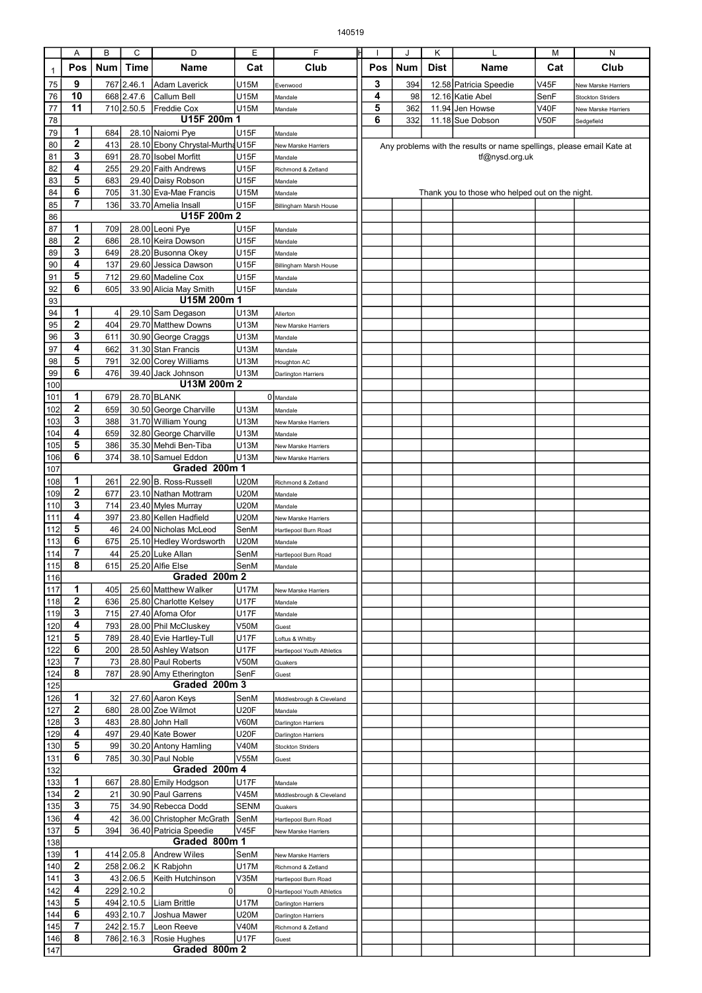|              | Α            | B          | C          | D                                | Ε           | F                             |                                                                       |     | J          | Κ    |                                                 | М    | N                                               |
|--------------|--------------|------------|------------|----------------------------------|-------------|-------------------------------|-----------------------------------------------------------------------|-----|------------|------|-------------------------------------------------|------|-------------------------------------------------|
| $\mathbf{1}$ | Pos          | <b>Num</b> | Time       | Name                             | Cat         | Club                          |                                                                       | Pos | <b>Num</b> | Dist | Name                                            | Cat  | Club                                            |
| 75           | 9            | 767        | 2.46.1     | Adam Laverick                    | U15M        |                               |                                                                       | 3   | 394        |      | 12.58 Patricia Speedie                          | V45F |                                                 |
| 76           | 10           |            | 668 2.47.6 | Callum Bell                      | U15M        | Evenwood<br>Mandale           |                                                                       | 4   | 98         |      | 12.16 Katie Abel                                | SenF | New Marske Harriers<br><b>Stockton Striders</b> |
| 77           | 11           |            | 710 2.50.5 | Freddie Cox                      | U15M        | Mandale                       |                                                                       | 5   | 362        |      | 11.94 Jen Howse                                 | V40F | New Marske Harriers                             |
| 78           |              |            |            | U15F 200m 1                      |             |                               |                                                                       | 6   | 332        |      | 11.18 Sue Dobson                                | V50F | Sedgefield                                      |
| 79           | 1            | 684        |            | 28.10 Naiomi Pye                 | <b>U15F</b> | Mandale                       |                                                                       |     |            |      |                                                 |      |                                                 |
| 80           | 2            | 413        |            | 28.10 Ebony Chrystal-Murtha U15F |             | New Marske Harriers           | Any problems with the results or name spellings, please email Kate at |     |            |      |                                                 |      |                                                 |
| 81           | 3            | 691        |            | 28.70 Isobel Morfitt             | U15F        | Mandale                       | tf@nysd.org.uk                                                        |     |            |      |                                                 |      |                                                 |
| 82           | 4            | 255        |            | 29.20 Faith Andrews              | U15F        | Richmond & Zetland            |                                                                       |     |            |      |                                                 |      |                                                 |
| 83           | 5            | 683        |            | 29.40 Daisy Robson               | U15F        | Mandale                       |                                                                       |     |            |      |                                                 |      |                                                 |
| 84           | 6            | 705        |            | 31.30 Eva-Mae Francis            | U15M        | Mandale                       |                                                                       |     |            |      | Thank you to those who helped out on the night. |      |                                                 |
| 85           | 7            | 136        |            | 33.70 Amelia Insall              | U15F        | Billingham Marsh House        |                                                                       |     |            |      |                                                 |      |                                                 |
| 86           |              |            |            | U15F 200m 2                      |             |                               |                                                                       |     |            |      |                                                 |      |                                                 |
| 87           | 1            | 709        |            | 28.00 Leoni Pye                  | U15F        | Mandale                       |                                                                       |     |            |      |                                                 |      |                                                 |
| 88           | $\mathbf{2}$ | 686        |            | 28.10 Keira Dowson               | U15F        | Mandale                       |                                                                       |     |            |      |                                                 |      |                                                 |
| 89           | 3            | 649        |            | 28.20 Busonna Okey               | U15F        | Mandale                       |                                                                       |     |            |      |                                                 |      |                                                 |
| 90           | 4            | 137        |            | 29.60 Jessica Dawson             | U15F        | <b>Billingham Marsh House</b> |                                                                       |     |            |      |                                                 |      |                                                 |
| 91           | 5            | 712        |            | 29.60 Madeline Cox               | U15F        | Mandale                       |                                                                       |     |            |      |                                                 |      |                                                 |
| 92           | 6            | 605        |            | 33.90 Alicia May Smith           | U15F        | Mandale                       |                                                                       |     |            |      |                                                 |      |                                                 |
| 93           |              |            |            | U15M 200m 1                      |             |                               |                                                                       |     |            |      |                                                 |      |                                                 |
| 94           | 1            | 4          |            | 29.10 Sam Degason                | U13M        | Allerton                      |                                                                       |     |            |      |                                                 |      |                                                 |
| 95           | $\mathbf{2}$ | 404        |            | 29.70 Matthew Downs              | U13M        | New Marske Harriers           |                                                                       |     |            |      |                                                 |      |                                                 |
| 96           | 3            | 611        |            | 30.90 George Craggs              | U13M        | Mandale                       |                                                                       |     |            |      |                                                 |      |                                                 |
| 97           | 4            | 662        |            | 31.30 Stan Francis               | U13M        | Mandale                       |                                                                       |     |            |      |                                                 |      |                                                 |
| 98           | 5            | 791        |            | 32.00 Corey Williams             | U13M        | Houghton AC                   |                                                                       |     |            |      |                                                 |      |                                                 |
| 99           | 6            | 476        |            | 39.40 Jack Johnson               | U13M        | Darlington Harriers           |                                                                       |     |            |      |                                                 |      |                                                 |
| 100          |              |            |            | U13M 200m 2                      |             |                               |                                                                       |     |            |      |                                                 |      |                                                 |
| 101          | 1            | 679        |            | 28.70 BLANK                      |             | 0 Mandale                     |                                                                       |     |            |      |                                                 |      |                                                 |
| 102          | 2            | 659        |            | 30.50 George Charville           | U13M        | Mandale                       |                                                                       |     |            |      |                                                 |      |                                                 |
| 103          | 3            | 388        |            | 31.70 William Young              | U13M        | New Marske Harriers           |                                                                       |     |            |      |                                                 |      |                                                 |
| 104          | 4            | 659        |            | 32.80 George Charville           | U13M        | Mandale                       |                                                                       |     |            |      |                                                 |      |                                                 |
| 105          | 5            | 386        |            | 35.30 Mehdi Ben-Tiba             | U13M        | New Marske Harriers           |                                                                       |     |            |      |                                                 |      |                                                 |
| 106          | 6            | 374        |            | 38.10 Samuel Eddon               | U13M        | New Marske Harriers           |                                                                       |     |            |      |                                                 |      |                                                 |
| 107          |              |            |            | Graded 200m 1                    |             |                               |                                                                       |     |            |      |                                                 |      |                                                 |
| 108          | 1            | 261        |            | 22.90 B. Ross-Russell            | U20M        | Richmond & Zetland            |                                                                       |     |            |      |                                                 |      |                                                 |
| 109          | $\mathbf{2}$ | 677        |            | 23.10 Nathan Mottram             | U20M        | Mandale                       |                                                                       |     |            |      |                                                 |      |                                                 |
| 110          | 3            | 714        |            | 23.40 Myles Murray               | U20M        | Mandale                       |                                                                       |     |            |      |                                                 |      |                                                 |
| 111          | 4            | 397        |            | 23.80 Kellen Hadfield            | U20M        | New Marske Harriers           |                                                                       |     |            |      |                                                 |      |                                                 |
| 112          | 5            | 46         |            | 24.00 Nicholas McLeod            | SenM        | Hartlepool Burn Road          |                                                                       |     |            |      |                                                 |      |                                                 |
| 113          | 6            | 675        |            | 25.10 Hedley Wordsworth          | U20M        | Mandale                       |                                                                       |     |            |      |                                                 |      |                                                 |
| 114          | 7            | 44         |            | 25.20 Luke Allan                 | SenM        | Hartlepool Burn Road          |                                                                       |     |            |      |                                                 |      |                                                 |
| 115          | 8            | 615        |            | 25.20 Alfie Else                 | SenM        | Mandale                       |                                                                       |     |            |      |                                                 |      |                                                 |
| 116          |              |            |            | Graded 200m 2                    |             |                               |                                                                       |     |            |      |                                                 |      |                                                 |
| 117          | 1            | 405        |            | 25.60 Matthew Walker             | U17M        | New Marske Harriers           |                                                                       |     |            |      |                                                 |      |                                                 |
| 118          | 2            | 636        |            | 25.80 Charlotte Kelsey           | <b>U17F</b> | Mandale                       |                                                                       |     |            |      |                                                 |      |                                                 |
| 119          | 3            | 715        |            | 27.40 Afoma Ofor                 | <b>U17F</b> | Mandale                       |                                                                       |     |            |      |                                                 |      |                                                 |
| 120          | 4            | 793        |            | 28.00 Phil McCluskey             | V50M        | Guest                         |                                                                       |     |            |      |                                                 |      |                                                 |
| 121          | 5            | 789        |            | 28.40 Evie Hartley-Tull          | U17F        | Loftus & Whitby               |                                                                       |     |            |      |                                                 |      |                                                 |
| 122          | 6            | 200        |            | 28.50 Ashley Watson              | U17F        | Hartlepool Youth Athletics    |                                                                       |     |            |      |                                                 |      |                                                 |
| 123          | 7            | 73         |            | 28.80 Paul Roberts               | V50M        | Quakers                       |                                                                       |     |            |      |                                                 |      |                                                 |
| 124          | 8            | 787        |            | 28.90 Amy Etherington            | SenF        | Guest                         |                                                                       |     |            |      |                                                 |      |                                                 |
| 125          |              |            |            | Graded 200m 3                    |             |                               |                                                                       |     |            |      |                                                 |      |                                                 |
| 126          | 1            | 32         |            | 27.60 Aaron Keys                 | SenM        | Middlesbrough & Cleveland     |                                                                       |     |            |      |                                                 |      |                                                 |
| 127          | $\mathbf{2}$ | 680        |            | 28.00 Zoe Wilmot                 | U20F        | Mandale                       |                                                                       |     |            |      |                                                 |      |                                                 |
| 128          | 3            | 483        |            | 28.80 John Hall                  | V60M        | Darlington Harriers           |                                                                       |     |            |      |                                                 |      |                                                 |
| 129          | 4            | 497        |            | 29.40 Kate Bower                 | U20F        | Darlington Harriers           |                                                                       |     |            |      |                                                 |      |                                                 |
| 130          | 5            | 99         |            | 30.20 Antony Hamling             | <b>V40M</b> | <b>Stockton Striders</b>      |                                                                       |     |            |      |                                                 |      |                                                 |
| 131          | 6            | 785        |            | 30.30 Paul Noble                 | V55M        | Guest                         |                                                                       |     |            |      |                                                 |      |                                                 |
| 132          |              |            |            | Graded 200m 4                    |             |                               |                                                                       |     |            |      |                                                 |      |                                                 |
| 133          | 1            | 667        |            | 28.80 Emily Hodgson              | U17F        | Mandale                       |                                                                       |     |            |      |                                                 |      |                                                 |
| 134          | 2            | 21         |            | 30.90 Paul Garrens               | V45M        | Middlesbrough & Cleveland     |                                                                       |     |            |      |                                                 |      |                                                 |
| 135          | 3            | 75         |            | 34.90 Rebecca Dodd               | <b>SENM</b> | Quakers                       |                                                                       |     |            |      |                                                 |      |                                                 |
| 136          | 4            | 42         |            | 36.00 Christopher McGrath        | SenM        | Hartlepool Burn Road          |                                                                       |     |            |      |                                                 |      |                                                 |
| 137          | 5            | 394        |            | 36.40 Patricia Speedie           | V45F        | New Marske Harriers           |                                                                       |     |            |      |                                                 |      |                                                 |
| 138          |              |            |            | Graded 800m 1                    |             |                               |                                                                       |     |            |      |                                                 |      |                                                 |
| 139          | 1            |            | 414 2.05.8 | <b>Andrew Wiles</b>              | SenM        | New Marske Harriers           |                                                                       |     |            |      |                                                 |      |                                                 |
| 140          | $\mathbf{2}$ |            | 258 2.06.2 | K Rabjohn                        | U17M        | Richmond & Zetland            |                                                                       |     |            |      |                                                 |      |                                                 |
| 141          | 3            |            | 43 2.06.5  | Keith Hutchinson                 | V35M        | Hartlepool Burn Road          |                                                                       |     |            |      |                                                 |      |                                                 |
| 142          | 4            |            | 229 2.10.2 | $\mathbf 0$                      |             | 0 Hartlepool Youth Athletics  |                                                                       |     |            |      |                                                 |      |                                                 |
| 143          | 5            |            | 494 2.10.5 | Liam Brittle                     | U17M        | Darlington Harriers           |                                                                       |     |            |      |                                                 |      |                                                 |
| 144          | 6            |            | 493 2.10.7 | Joshua Mawer                     | U20M        | Darlington Harriers           |                                                                       |     |            |      |                                                 |      |                                                 |
| 145          | 7            |            | 242 2.15.7 | Leon Reeve                       | <b>V40M</b> | Richmond & Zetland            |                                                                       |     |            |      |                                                 |      |                                                 |
| 146          | 8            |            | 786 2.16.3 | Rosie Hughes                     | <b>U17F</b> | Guest                         |                                                                       |     |            |      |                                                 |      |                                                 |
| 147          |              |            |            | Graded 800m 2                    |             |                               |                                                                       |     |            |      |                                                 |      |                                                 |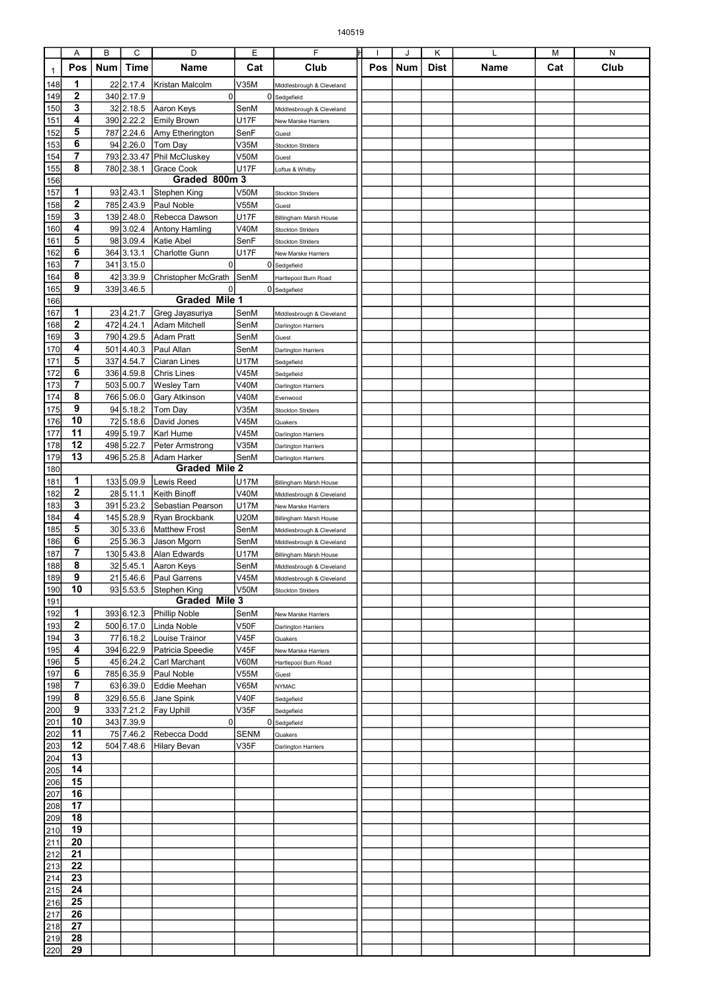|                  | Α                       | В          | С           | D                                                      | Ε            | F                                       | ΙH  | J   | Κ    |      | М   | N    |
|------------------|-------------------------|------------|-------------|--------------------------------------------------------|--------------|-----------------------------------------|-----|-----|------|------|-----|------|
| $\mathbf{1}$     | Pos                     | <b>Num</b> | <b>Time</b> | Name                                                   | Cat          | Club                                    | Pos | Num | Dist | Name | Cat | Club |
|                  | 1                       |            | 22 2.17.4   | Kristan Malcolm                                        | V35M         |                                         |     |     |      |      |     |      |
| 148<br>149       | $\mathbf{2}$            |            | 340 2.17.9  | $\mathbf 0$                                            | 0            | Middlesbrough & Cleveland<br>Sedgefield |     |     |      |      |     |      |
| 150              | 3                       |            | 32 2.18.5   | Aaron Keys                                             | SenM         | Middlesbrough & Cleveland               |     |     |      |      |     |      |
| 151              | 4                       |            | 390 2.22.2  | <b>Emily Brown</b>                                     | <b>U17F</b>  | New Marske Harriers                     |     |     |      |      |     |      |
| 152              | 5                       |            | 787 2.24.6  | Amy Etherington                                        | SenF         | Guest                                   |     |     |      |      |     |      |
| 153              | 6                       |            | 94 2.26.0   | Tom Day                                                | V35M         | <b>Stockton Striders</b>                |     |     |      |      |     |      |
| 154              | 7                       |            | 793 2.33.47 | Phil McCluskey                                         | <b>V50M</b>  | Guest                                   |     |     |      |      |     |      |
| <u>155</u>       | 8                       |            | 780 2.38.1  | Grace Cook                                             | <b>U17F</b>  | Loftus & Whitby                         |     |     |      |      |     |      |
| 156              |                         |            |             | Graded 800m 3                                          |              |                                         |     |     |      |      |     |      |
| 157              | 1                       |            | 93 2.43.1   | Stephen King                                           | <b>V50M</b>  | <b>Stockton Striders</b>                |     |     |      |      |     |      |
| 158              | 2                       |            | 785 2.43.9  | Paul Noble                                             | V55M         | Guest                                   |     |     |      |      |     |      |
| 159              | 3                       |            | 139 2.48.0  | Rebecca Dawson                                         | <b>U17F</b>  | Billingham Marsh House                  |     |     |      |      |     |      |
| 160              | 4                       |            | 99 3.02.4   | Antony Hamling                                         | <b>V40M</b>  | <b>Stockton Striders</b>                |     |     |      |      |     |      |
| 161              | 5                       |            | 98 3.09.4   | Katie Abel                                             | SenF         | <b>Stockton Striders</b>                |     |     |      |      |     |      |
| 162              | 6                       |            | 364 3.13.1  | Charlotte Gunn                                         | U17F         | New Marske Harriers                     |     |     |      |      |     |      |
| 163              | $\overline{7}$          |            | 341 3.15.0  | $\mathbf 0$                                            |              | 0 Sedgefield                            |     |     |      |      |     |      |
| 164              | 8                       |            | 42 3.39.9   | Christopher McGrath                                    | SenM         | Hartlepool Burn Road                    |     |     |      |      |     |      |
| 165              | 9                       |            | 339 3.46.5  | 0                                                      |              | 0 Sedgefield                            |     |     |      |      |     |      |
| 166              |                         |            |             | Graded Mile 1                                          |              |                                         |     |     |      |      |     |      |
| 167              | 1                       |            | 23 4.21.7   | Greg Jayasuriya                                        | SenM         | Middlesbrough & Cleveland               |     |     |      |      |     |      |
| 168              | 2                       |            | 472 4.24.1  | Adam Mitchell                                          | SenM         | Darlington Harriers                     |     |     |      |      |     |      |
| 169              | 3                       |            | 790 4.29.5  | Adam Pratt                                             | SenM         | Guest                                   |     |     |      |      |     |      |
| 170              | 4                       |            | 501 4.40.3  | Paul Allan                                             | SenM         | Darlington Harriers                     |     |     |      |      |     |      |
| 171              | 5                       | 337        | 4.54.7      | Ciaran Lines                                           | U17M         | Sedgefield                              |     |     |      |      |     |      |
| 172              | 6                       |            | 336 4.59.8  | Chris Lines                                            | V45M         | Sedgefield                              |     |     |      |      |     |      |
| 173              | 7                       |            | 503 5.00.7  | Wesley Tarn                                            | <b>V40M</b>  | Darlington Harriers                     |     |     |      |      |     |      |
| 174              | 8                       |            | 766 5.06.0  | <b>Gary Atkinson</b>                                   | <b>V40M</b>  | Evenwood                                |     |     |      |      |     |      |
| 175              | 9                       |            | 94 5.18.2   | Tom Day                                                | V35M         | <b>Stockton Striders</b>                |     |     |      |      |     |      |
| 176              | 10                      |            | 72 5.18.6   | David Jones                                            | V45M         | Quakers                                 |     |     |      |      |     |      |
| 177              | 11                      |            | 499 5.19.7  | Karl Hume                                              | V45M         | Darlington Harriers                     |     |     |      |      |     |      |
| 178              | 12                      |            | 498 5.22.7  | Peter Armstrong                                        | V35M         | Darlington Harriers                     |     |     |      |      |     |      |
| 179              | $\overline{13}$         |            | 496 5.25.8  | Adam Harker                                            | SenM         | Darlington Harriers                     |     |     |      |      |     |      |
| 180              |                         |            |             | <b>Graded Mile 2</b>                                   |              |                                         |     |     |      |      |     |      |
| 181              | 1                       |            | 133 5.09.9  | Lewis Reed                                             | U17M         | Billingham Marsh House                  |     |     |      |      |     |      |
| 182              | 2                       |            | 28 5.11.1   | Keith Binoff                                           | V40M         | Middlesbrough & Cleveland               |     |     |      |      |     |      |
| 183              | 3                       |            | 391 5.23.2  | Sebastian Pearson                                      | U17M         | New Marske Harriers                     |     |     |      |      |     |      |
| 184              | 4                       |            | 145 5.28.9  | Ryan Brockbank                                         | <b>U20M</b>  | Billingham Marsh House                  |     |     |      |      |     |      |
| 185              | 5                       |            | 30 5.33.6   | Matthew Frost                                          | SenM         | Middlesbrough & Cleveland               |     |     |      |      |     |      |
| 186              | 6                       |            | 25 5.36.3   | Jason Mgorn                                            | SenM         | Middlesbrough & Cleveland               |     |     |      |      |     |      |
| 187              | 7                       | 130        | 5.43.8      | Alan Edwards                                           | U17M         | Billingham Marsh House                  |     |     |      |      |     |      |
| 188              | 8                       |            | 32 5.45.1   | Aaron Keys                                             | SenM         | Middlesbrough & Cleveland               |     |     |      |      |     |      |
| 189              | $\overline{9}$          |            |             | 21 5.46.6 Paul Garrens                                 | <b>V45M</b>  | Middlesbrough & Cleveland               |     |     |      |      |     |      |
| 190              | 10                      |            |             | 93 5.53.5 Stephen King                                 | <b>V50M</b>  | <b>Stockton Striders</b>                |     |     |      |      |     |      |
| 191              |                         |            |             | Graded Mile 3                                          |              |                                         |     |     |      |      |     |      |
| 192              | 1                       |            |             | 393 6.12.3 Phillip Noble                               | SenM         | New Marske Harriers                     |     |     |      |      |     |      |
| 193              | $\boldsymbol{2}$<br>3   |            | 77 6.18.2   | 500 6.17.0 Linda Noble                                 | V50F<br>V45F | Darlington Harriers                     |     |     |      |      |     |      |
| 194              | $\overline{\mathbf{4}}$ |            |             | Louise Trainor                                         | V45F         | Quakers                                 |     |     |      |      |     |      |
| 195<br>196       | 5                       |            |             | 394 6.22.9 Patricia Speedie<br>45 6.24.2 Carl Marchant | V60M         | New Marske Harriers                     |     |     |      |      |     |      |
| 197              | 6                       |            |             | 785 6.35.9 Paul Noble                                  | V55M         | Hartlepool Burn Road                    |     |     |      |      |     |      |
| 198              | $\overline{7}$          |            |             | 63 6.39.0 Eddie Meehan                                 | V65M         | Guest<br><b>NYMAC</b>                   |     |     |      |      |     |      |
| 199              | 8                       |            | 329 6.55.6  | Jane Spink                                             | V40F         | Sedgefield                              |     |     |      |      |     |      |
| 200              | 9                       |            | 333 7.21.2  | <b>Fay Uphill</b>                                      | V35F         | Sedgefield                              |     |     |      |      |     |      |
| 201              | 10                      |            | 343 7.39.9  | $\overline{0}$                                         | 0            | Sedgefield                              |     |     |      |      |     |      |
| 202              | 11                      |            | 75 7.46.2   | Rebecca Dodd                                           | <b>SENM</b>  | Quakers                                 |     |     |      |      |     |      |
| 203              | 12                      |            |             | 504 7.48.6 Hilary Bevan                                | V35F         | Darlington Harriers                     |     |     |      |      |     |      |
| 204              | 13                      |            |             |                                                        |              |                                         |     |     |      |      |     |      |
| 205              | 14                      |            |             |                                                        |              |                                         |     |     |      |      |     |      |
| 206              | 15                      |            |             |                                                        |              |                                         |     |     |      |      |     |      |
| $\overline{207}$ | 16                      |            |             |                                                        |              |                                         |     |     |      |      |     |      |
| 208              | 17                      |            |             |                                                        |              |                                         |     |     |      |      |     |      |
| 209              | 18                      |            |             |                                                        |              |                                         |     |     |      |      |     |      |
| 210              | 19                      |            |             |                                                        |              |                                         |     |     |      |      |     |      |
| 211              | 20                      |            |             |                                                        |              |                                         |     |     |      |      |     |      |
| 212              | 21                      |            |             |                                                        |              |                                         |     |     |      |      |     |      |
| 213              | 22                      |            |             |                                                        |              |                                         |     |     |      |      |     |      |
| 214              | 23                      |            |             |                                                        |              |                                         |     |     |      |      |     |      |
| 215              | 24                      |            |             |                                                        |              |                                         |     |     |      |      |     |      |
| $\overline{216}$ | 25                      |            |             |                                                        |              |                                         |     |     |      |      |     |      |
| $\overline{217}$ | $\overline{26}$         |            |             |                                                        |              |                                         |     |     |      |      |     |      |
| 218              | 27                      |            |             |                                                        |              |                                         |     |     |      |      |     |      |
| 219              | 28                      |            |             |                                                        |              |                                         |     |     |      |      |     |      |
| 220              | 29                      |            |             |                                                        |              |                                         |     |     |      |      |     |      |